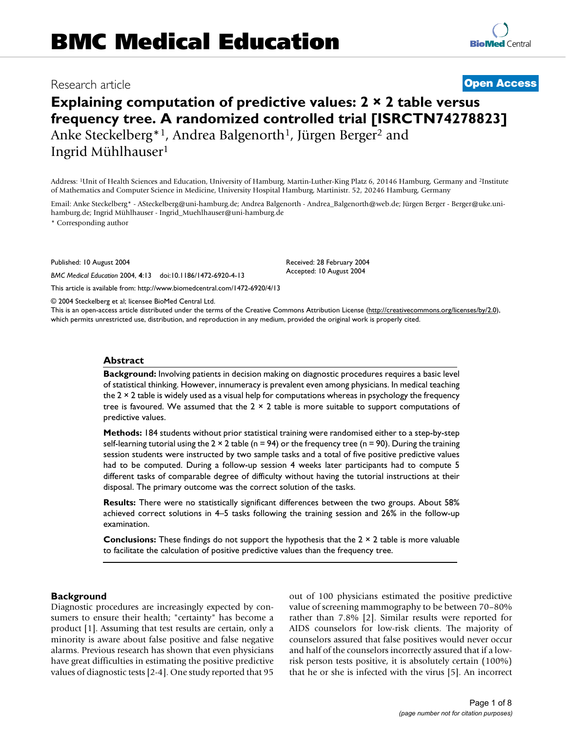# Research article **[Open Access](http://www.biomedcentral.com/info/about/charter/)**

**[BioMed](http://www.biomedcentral.com/)** Central

# **Explaining computation of predictive values: 2 × 2 table versus frequency tree. A randomized controlled trial [ISRCTN74278823]** Anke Steckelberg<sup>\*1</sup>, Andrea Balgenorth<sup>1</sup>, Jürgen Berger<sup>2</sup> and

Ingrid Mühlhauser1

Address: 1Unit of Health Sciences and Education, University of Hamburg, Martin-Luther-King Platz 6, 20146 Hamburg, Germany and 2Institute of Mathematics and Computer Science in Medicine, University Hospital Hamburg, Martinistr. 52, 20246 Hamburg, Germany

Email: Anke Steckelberg\* - ASteckelberg@uni-hamburg.de; Andrea Balgenorth - Andrea\_Balgenorth@web.de; Jürgen Berger - Berger@uke.unihamburg.de; Ingrid Mühlhauser - Ingrid\_Muehlhauser@uni-hamburg.de

> Received: 28 February 2004 Accepted: 10 August 2004

\* Corresponding author

Published: 10 August 2004

*BMC Medical Education* 2004, **4**:13 doi:10.1186/1472-6920-4-13

[This article is available from: http://www.biomedcentral.com/1472-6920/4/13](http://www.biomedcentral.com/1472-6920/4/13)

© 2004 Steckelberg et al; licensee BioMed Central Ltd.

This is an open-access article distributed under the terms of the Creative Commons Attribution License (<http://creativecommons.org/licenses/by/2.0>), which permits unrestricted use, distribution, and reproduction in any medium, provided the original work is properly cited.

### **Abstract**

**Background:** Involving patients in decision making on diagnostic procedures requires a basic level of statistical thinking. However, innumeracy is prevalent even among physicians. In medical teaching the  $2 \times 2$  table is widely used as a visual help for computations whereas in psychology the frequency tree is favoured. We assumed that the  $2 \times 2$  table is more suitable to support computations of predictive values.

**Methods:** 184 students without prior statistical training were randomised either to a step-by-step self-learning tutorial using the  $2 \times 2$  table (n = 94) or the frequency tree (n = 90). During the training session students were instructed by two sample tasks and a total of five positive predictive values had to be computed. During a follow-up session 4 weeks later participants had to compute 5 different tasks of comparable degree of difficulty without having the tutorial instructions at their disposal. The primary outcome was the correct solution of the tasks.

**Results:** There were no statistically significant differences between the two groups. About 58% achieved correct solutions in 4–5 tasks following the training session and 26% in the follow-up examination.

**Conclusions:** These findings do not support the hypothesis that the 2 × 2 table is more valuable to facilitate the calculation of positive predictive values than the frequency tree.

#### **Background**

Diagnostic procedures are increasingly expected by consumers to ensure their health; "certainty" has become a product [1]. Assuming that test results are certain, only a minority is aware about false positive and false negative alarms. Previous research has shown that even physicians have great difficulties in estimating the positive predictive values of diagnostic tests [2-4]. One study reported that 95 out of 100 physicians estimated the positive predictive value of screening mammography to be between 70–80% rather than 7.8% [2]. Similar results were reported for AIDS counselors for low-risk clients. The majority of counselors assured that false positives would never occur and half of the counselors incorrectly assured that if a lowrisk person tests positive, it is absolutely certain (100%) that he or she is infected with the virus [5]. An incorrect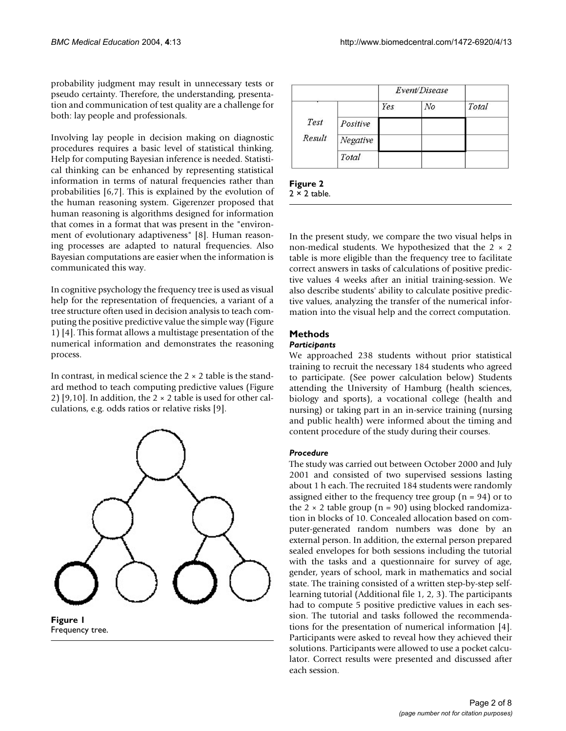probability judgment may result in unnecessary tests or pseudo certainty. Therefore, the understanding, presentation and communication of test quality are a challenge for both: lay people and professionals.

Involving lay people in decision making on diagnostic procedures requires a basic level of statistical thinking. Help for computing Bayesian inference is needed. Statistical thinking can be enhanced by representing statistical information in terms of natural frequencies rather than probabilities [6,7]. This is explained by the evolution of the human reasoning system. Gigerenzer proposed that human reasoning is algorithms designed for information that comes in a format that was present in the "environment of evolutionary adaptiveness" [8]. Human reasoning processes are adapted to natural frequencies. Also Bayesian computations are easier when the information is communicated this way.

In cognitive psychology the frequency tree is used as visual help for the representation of frequencies, a variant of a tree structure often used in decision analysis to teach computing the positive predictive value the simple way (Figure 1) [4]. This format allows a multistage presentation of the numerical information and demonstrates the reasoning process.

In contrast, in medical science the  $2 \times 2$  table is the standard method to teach computing predictive values (Figure 2) [9,10]. In addition, the  $2 \times 2$  table is used for other calculations, e.g. odds ratios or relative risks [9].



**Figure 1** Frequency tree.

|                |          | Event/Disease |    |       |
|----------------|----------|---------------|----|-------|
|                |          | Yes           | No | Total |
| Test<br>Result | Positive |               |    |       |
|                | Negative |               |    |       |
|                | Total    |               |    |       |

**Figure 2**  $2 \times 2$  table.

In the present study, we compare the two visual helps in non-medical students. We hypothesized that the  $2 \times 2$ table is more eligible than the frequency tree to facilitate correct answers in tasks of calculations of positive predictive values 4 weeks after an initial training-session. We also describe students' ability to calculate positive predictive values, analyzing the transfer of the numerical information into the visual help and the correct computation.

# **Methods**

# *Participants*

We approached 238 students without prior statistical training to recruit the necessary 184 students who agreed to participate. (See power calculation below) Students attending the University of Hamburg (health sciences, biology and sports), a vocational college (health and nursing) or taking part in an in-service training (nursing and public health) were informed about the timing and content procedure of the study during their courses.

# *Procedure*

The study was carried out between October 2000 and July 2001 and consisted of two supervised sessions lasting about 1 h each. The recruited 184 students were randomly assigned either to the frequency tree group  $(n = 94)$  or to the  $2 \times 2$  table group (n = 90) using blocked randomization in blocks of 10. Concealed allocation based on computer-generated random numbers was done by an external person. In addition, the external person prepared sealed envelopes for both sessions including the tutorial with the tasks and a questionnaire for survey of age, gender, years of school, mark in mathematics and social state. The training consisted of a written step-by-step selflearning tutorial (Additional file 1, 2, 3). The participants had to compute 5 positive predictive values in each session. The tutorial and tasks followed the recommendations for the presentation of numerical information [4]. Participants were asked to reveal how they achieved their solutions. Participants were allowed to use a pocket calculator. Correct results were presented and discussed after each session.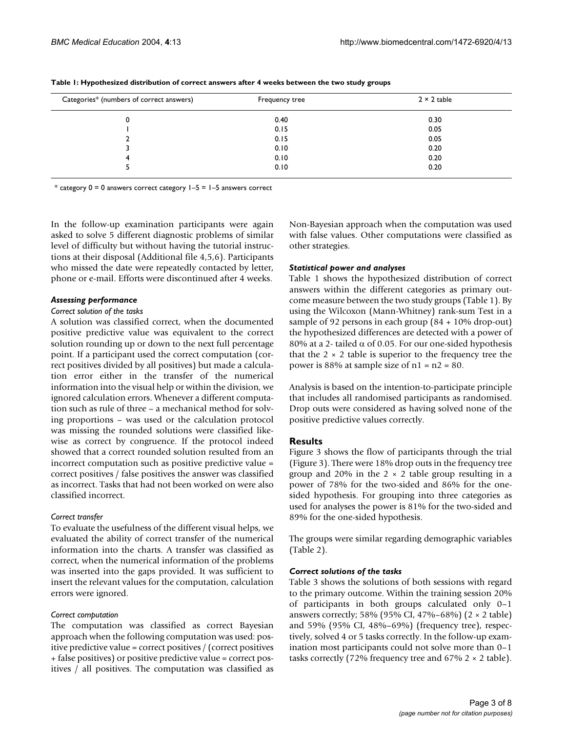| Categories* (numbers of correct answers) | Frequency tree | $2 \times 2$ table |
|------------------------------------------|----------------|--------------------|
|                                          | 0.40           | 0.30               |
|                                          | 0.15           | 0.05               |
|                                          | 0.15           | 0.05               |
|                                          | 0.10           | 0.20               |
| 4                                        | 0.10           | 0.20               |
|                                          | 0.10           | 0.20               |

<span id="page-2-0"></span>**Table 1: Hypothesized distribution of correct answers after 4 weeks between the two study groups**

\* category  $0 = 0$  answers correct category  $1-5 = 1-5$  answers correct

In the follow-up examination participants were again asked to solve 5 different diagnostic problems of similar level of difficulty but without having the tutorial instructions at their disposal (Additional file 4,5,6). Participants who missed the date were repeatedly contacted by letter, phone or e-mail. Efforts were discontinued after 4 weeks.

#### *Assessing performance*

#### *Correct solution of the tasks*

A solution was classified correct, when the documented positive predictive value was equivalent to the correct solution rounding up or down to the next full percentage point. If a participant used the correct computation (correct positives divided by all positives) but made a calculation error either in the transfer of the numerical information into the visual help or within the division, we ignored calculation errors. Whenever a different computation such as rule of three – a mechanical method for solving proportions – was used or the calculation protocol was missing the rounded solutions were classified likewise as correct by congruence. If the protocol indeed showed that a correct rounded solution resulted from an incorrect computation such as positive predictive value = correct positives / false positives the answer was classified as incorrect. Tasks that had not been worked on were also classified incorrect.

#### *Correct transfer*

To evaluate the usefulness of the different visual helps, we evaluated the ability of correct transfer of the numerical information into the charts. A transfer was classified as correct, when the numerical information of the problems was inserted into the gaps provided. It was sufficient to insert the relevant values for the computation, calculation errors were ignored.

#### *Correct computation*

The computation was classified as correct Bayesian approach when the following computation was used: positive predictive value = correct positives / (correct positives + false positives) or positive predictive value = correct positives / all positives. The computation was classified as Non-Bayesian approach when the computation was used with false values. Other computations were classified as other strategies.

#### *Statistical power and analyses*

Table [1](#page-2-0) shows the hypothesized distribution of correct answers within the different categories as primary outcome measure between the two study groups (Table [1](#page-2-0)). By using the Wilcoxon (Mann-Whitney) rank-sum Test in a sample of 92 persons in each group (84 + 10% drop-out) the hypothesized differences are detected with a power of 80% at a 2- tailed  $\alpha$  of 0.05. For our one-sided hypothesis that the  $2 \times 2$  table is superior to the frequency tree the power is  $88\%$  at sample size of  $n1 = n2 = 80$ .

Analysis is based on the intention-to-participate principle that includes all randomised participants as randomised. Drop outs were considered as having solved none of the positive predictive values correctly.

#### **Results**

Figure [3](#page-3-0) shows the flow of participants through the trial (Figure [3](#page-3-0)). There were 18% drop outs in the frequency tree group and 20% in the  $2 \times 2$  table group resulting in a power of 78% for the two-sided and 86% for the onesided hypothesis. For grouping into three categories as used for analyses the power is 81% for the two-sided and 89% for the one-sided hypothesis.

The groups were similar regarding demographic variables (Table [2\)](#page-4-0).

#### *Correct solutions of the tasks*

Table [3](#page-4-1) shows the solutions of both sessions with regard to the primary outcome. Within the training session 20% of participants in both groups calculated only 0–1 answers correctly; 58% (95% CI, 47%–68%) (2 × 2 table) and 59% (95% CI, 48%–69%) (frequency tree), respectively, solved 4 or 5 tasks correctly. In the follow-up examination most participants could not solve more than 0–1 tasks correctly (72% frequency tree and 67%  $2 \times 2$  table).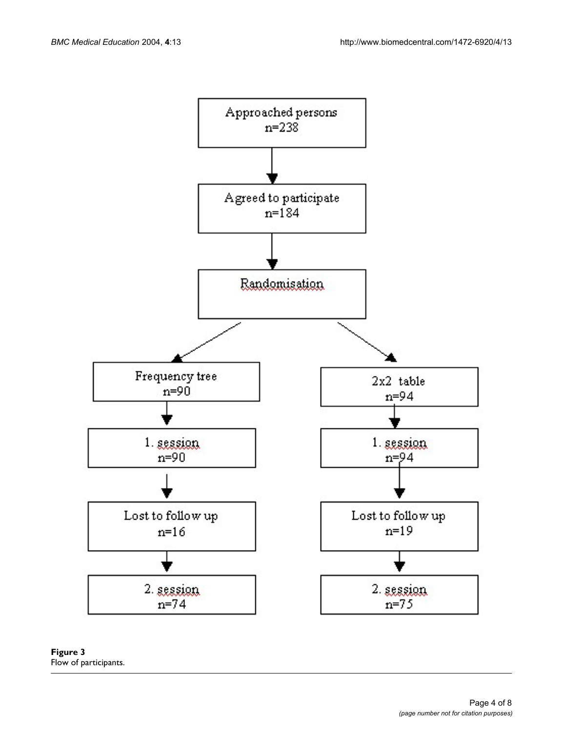<span id="page-3-0"></span>

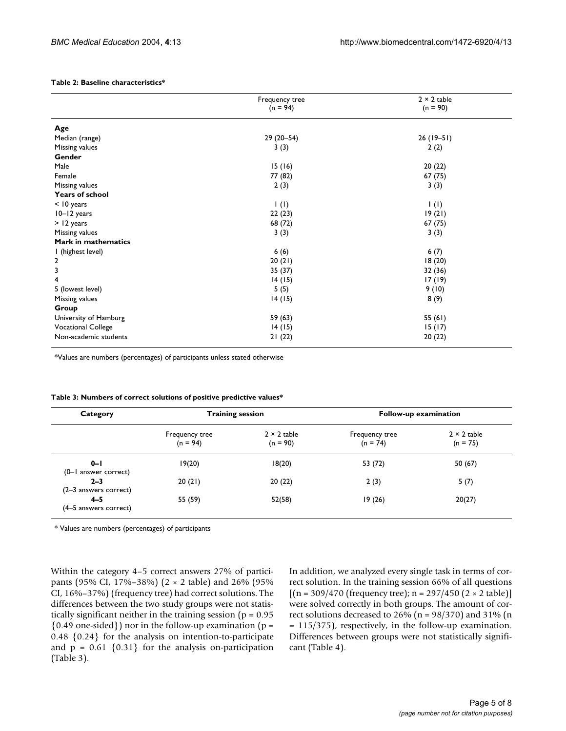#### <span id="page-4-0"></span>**Table 2: Baseline characteristics\***

|                           | Frequency tree           | $2 \times 2$ table       |
|---------------------------|--------------------------|--------------------------|
|                           | $(n = 94)$               | $(n = 90)$               |
| Age                       |                          |                          |
| Median (range)            | $29(20-54)$              | $26(19-51)$              |
| Missing values            | 3(3)                     | 2(2)                     |
| Gender                    |                          |                          |
| Male                      | 15(16)                   | 20(22)                   |
| Female                    | 77 (82)                  | 67(75)                   |
| Missing values            | 2(3)                     | 3(3)                     |
| <b>Years of school</b>    |                          |                          |
| $<$ 10 years              | $\mathsf{I}(\mathsf{I})$ | $\mathsf{I}(\mathsf{I})$ |
| 10-12 years               | 22(23)                   | 19(21)                   |
| > 12 years                | 68 (72)                  | 67(75)                   |
| Missing values            | 3(3)                     | 3(3)                     |
| Mark in mathematics       |                          |                          |
| I (highest level)         | 6(6)                     | 6(7)                     |
| $\overline{2}$            | 20(21)                   | 18(20)                   |
| 3                         | 35 (37)                  | 32 (36)                  |
| $\overline{4}$            | 14(15)                   | 17(19)                   |
| 5 (lowest level)          | 5(5)                     | 9(10)                    |
| Missing values            | 14(15)                   | 8(9)                     |
| Group                     |                          |                          |
| University of Hamburg     | 59 (63)                  | 55 $(61)$                |
| <b>Vocational College</b> | 14(15)                   | 15(17)                   |
| Non-academic students     | 21(22)                   | 20(22)                   |

\*Values are numbers (percentages) of participants unless stated otherwise

| Category                           | <b>Training session</b>      |                                  | Follow-up examination        |                                  |  |
|------------------------------------|------------------------------|----------------------------------|------------------------------|----------------------------------|--|
|                                    | Frequency tree<br>$(n = 94)$ | $2 \times 2$ table<br>$(n = 90)$ | Frequency tree<br>$(n = 74)$ | $2 \times 2$ table<br>$(n = 75)$ |  |
| $0 - 1$<br>(0-1 answer correct)    | 19(20)                       | 18(20)                           | 53 (72)                      | 50 (67)                          |  |
| $2 - 3$<br>$(2-3$ answers correct) | 20(21)                       | 20(22)                           | 2(3)                         | 5(7)                             |  |
| $4 - 5$<br>(4–5 answers correct)   | 55 (59)                      | 52(58)                           | 19(26)                       | 20(27)                           |  |

#### <span id="page-4-1"></span>**Table 3: Numbers of correct solutions of positive predictive values\***

\* Values are numbers (percentages) of participants

Within the category 4–5 correct answers 27% of participants (95% CI, 17%–38%) (2 × 2 table) and 26% (95% CI, 16%–37%) (frequency tree) had correct solutions. The differences between the two study groups were not statistically significant neither in the training session ( $p = 0.95$ )  $\{0.49 \text{ one-sided}\}\}\$ nor in the follow-up examination (p = 0.48 {0.24} for the analysis on intention-to-participate and  $p = 0.61 \{0.31\}$  for the analysis on-participation (Table [3\)](#page-4-1).

In addition, we analyzed every single task in terms of correct solution. In the training session 66% of all questions  $[(n = 309/470 (frequency tree); n = 297/450 (2 \times 2 table)]$ were solved correctly in both groups. The amount of correct solutions decreased to  $26\%$  (n =  $98/370$ ) and  $31\%$  (n = 115/375), respectively, in the follow-up examination. Differences between groups were not statistically significant (Table [4](#page-5-0)).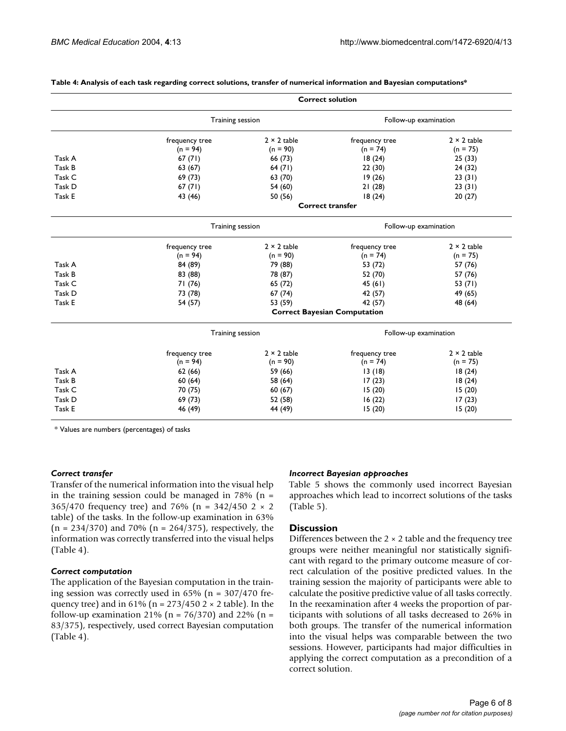|        | <b>Correct solution</b>             |                    |                       |                       |  |  |
|--------|-------------------------------------|--------------------|-----------------------|-----------------------|--|--|
|        | Training session                    |                    | Follow-up examination |                       |  |  |
|        | frequency tree                      | $2 \times 2$ table | frequency tree        | $2 \times 2$ table    |  |  |
|        | $(n = 94)$                          | $(n = 90)$         | $(n = 74)$            | $(n = 75)$            |  |  |
| Task A | 67(71)                              | 66 (73)            | 18(24)                | 25(33)                |  |  |
| Task B | 63 (67)                             | 64(71)             | 22(30)                | 24 (32)               |  |  |
| Task C | 69 (73)                             | 63 (70)            | 19(26)                | 23(31)                |  |  |
| Task D | 67(71)                              | 54 (60)            | 21(28)                | 23(31)                |  |  |
| Task E | 43 (46)                             | 50 (56)            | 18(24)                | 20(27)                |  |  |
|        | <b>Correct transfer</b>             |                    |                       |                       |  |  |
|        |                                     | Training session   |                       | Follow-up examination |  |  |
|        | frequency tree                      | $2 \times 2$ table | frequency tree        | $2 \times 2$ table    |  |  |
|        | $(n = 94)$                          | $(n = 90)$         | $(n = 74)$            | $(n = 75)$            |  |  |
| Task A | 84 (89)                             | 79 (88)            | 53 (72)               | 57 (76)               |  |  |
| Task B | 83 (88)                             | 78 (87)            | 52 (70)               | 57 (76)               |  |  |
| Task C | 71 (76)                             | 65(72)             | 45(61)                | 53 $(71)$             |  |  |
| Task D | 73 (78)                             | 67(74)             | 42 (57)               | 49 (65)               |  |  |
| Task E | 54 (57)                             | 53 (59)            | 42 (57)               | 48 (64)               |  |  |
|        | <b>Correct Bayesian Computation</b> |                    |                       |                       |  |  |
|        | Training session                    |                    | Follow-up examination |                       |  |  |
|        | frequency tree                      | $2 \times 2$ table | frequency tree        | $2 \times 2$ table    |  |  |
|        | $(n = 94)$                          | $(n = 90)$         | $(n = 74)$            | $(n = 75)$            |  |  |
| Task A | 62(66)                              | 59 (66)            | 13(18)                | 18(24)                |  |  |
| Task B | 60(64)                              | 58 (64)            | 17(23)                | 18(24)                |  |  |
| Task C | 70 (75)                             | 60(67)             | 15(20)                | 15(20)                |  |  |
| Task D | 69 (73)                             | 52 (58)            | 16(22)                | 17(23)                |  |  |
| Task E | 46 (49)                             | 44 (49)            | 15(20)                | 15(20)                |  |  |

#### <span id="page-5-0"></span>**Table 4: Analysis of each task regarding correct solutions, transfer of numerical information and Bayesian computations\***

\* Values are numbers (percentages) of tasks

#### *Correct transfer*

Transfer of the numerical information into the visual help in the training session could be managed in  $78\%$  (n = 365/470 frequency tree) and 76% (n = 342/450 2  $\times$  2 table) of the tasks. In the follow-up examination in 63%  $(n = 234/370)$  and 70%  $(n = 264/375)$ , respectively, the information was correctly transferred into the visual helps (Table [4\)](#page-5-0).

#### *Correct computation*

The application of the Bayesian computation in the training session was correctly used in  $65\%$  (n =  $307/470$  frequency tree) and in 61% (n =  $273/450$  2  $\times$  2 table). In the follow-up examination 21% ( $n = 76/370$ ) and 22% ( $n =$ 83/375), respectively, used correct Bayesian computation (Table [4\)](#page-5-0).

#### *Incorrect Bayesian approaches*

Table [5](#page-6-0) shows the commonly used incorrect Bayesian approaches which lead to incorrect solutions of the tasks (Table [5\)](#page-6-0).

#### **Discussion**

Differences between the  $2 \times 2$  table and the frequency tree groups were neither meaningful nor statistically significant with regard to the primary outcome measure of correct calculation of the positive predicted values. In the training session the majority of participants were able to calculate the positive predictive value of all tasks correctly. In the reexamination after 4 weeks the proportion of participants with solutions of all tasks decreased to 26% in both groups. The transfer of the numerical information into the visual helps was comparable between the two sessions. However, participants had major difficulties in applying the correct computation as a precondition of a correct solution.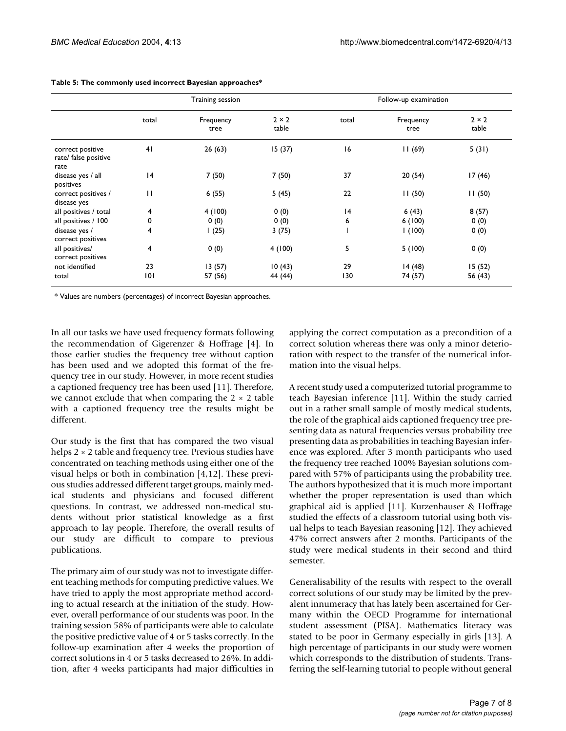|                                                  | Training session |                   |                       | Follow-up examination |                   |                       |
|--------------------------------------------------|------------------|-------------------|-----------------------|-----------------------|-------------------|-----------------------|
|                                                  | total            | Frequency<br>tree | $2 \times 2$<br>table | total                 | Frequency<br>tree | $2 \times 2$<br>table |
| correct positive<br>rate/ false positive<br>rate | 41               | 26(63)            | 15(37)                | 16                    | 11(69)            | 5(31)                 |
| disease yes / all<br>positives                   | 4                | 7(50)             | 7(50)                 | 37                    | 20(54)            | 17(46)                |
| correct positives /<br>disease yes               | $\mathbf{H}$     | 6(55)             | 5(45)                 | 22                    | 11(50)            | 11(50)                |
| all positives / total                            | 4                | 4(100)            | 0(0)                  | 4                     | 6(43)             | 8(57)                 |
| all positives / 100                              | 0                | 0(0)              | 0(0)                  | 6                     | 6(100)            | 0(0)                  |
| disease yes /<br>correct positives               | 4                | 1(25)             | 3(75)                 |                       | 1(100)            | 0(0)                  |
| all positives/<br>correct positives              | 4                | 0(0)              | 4(100)                | 5                     | 5(100)            | 0(0)                  |
| not identified                                   | 23               | 13(57)            | 10(43)                | 29                    | 14(48)            | 15(52)                |
| total                                            | 0                | 57 (56)           | 44 (44)               | 130                   | 74 (57)           | 56 (43)               |

#### <span id="page-6-0"></span>**Table 5: The commonly used incorrect Bayesian approaches\***

\* Values are numbers (percentages) of incorrect Bayesian approaches.

In all our tasks we have used frequency formats following the recommendation of Gigerenzer & Hoffrage [4]. In those earlier studies the frequency tree without caption has been used and we adopted this format of the frequency tree in our study. However, in more recent studies a captioned frequency tree has been used [11]. Therefore, we cannot exclude that when comparing the  $2 \times 2$  table with a captioned frequency tree the results might be different.

Our study is the first that has compared the two visual helps 2 × 2 table and frequency tree. Previous studies have concentrated on teaching methods using either one of the visual helps or both in combination [4,12]. These previous studies addressed different target groups, mainly medical students and physicians and focused different questions. In contrast, we addressed non-medical students without prior statistical knowledge as a first approach to lay people. Therefore, the overall results of our study are difficult to compare to previous publications.

The primary aim of our study was not to investigate different teaching methods for computing predictive values. We have tried to apply the most appropriate method according to actual research at the initiation of the study. However, overall performance of our students was poor. In the training session 58% of participants were able to calculate the positive predictive value of 4 or 5 tasks correctly. In the follow-up examination after 4 weeks the proportion of correct solutions in 4 or 5 tasks decreased to 26%. In addition, after 4 weeks participants had major difficulties in applying the correct computation as a precondition of a correct solution whereas there was only a minor deterioration with respect to the transfer of the numerical information into the visual helps.

A recent study used a computerized tutorial programme to teach Bayesian inference [11]. Within the study carried out in a rather small sample of mostly medical students, the role of the graphical aids captioned frequency tree presenting data as natural frequencies versus probability tree presenting data as probabilities in teaching Bayesian inference was explored. After 3 month participants who used the frequency tree reached 100% Bayesian solutions compared with 57% of participants using the probability tree. The authors hypothesized that it is much more important whether the proper representation is used than which graphical aid is applied [11]. Kurzenhauser & Hoffrage studied the effects of a classroom tutorial using both visual helps to teach Bayesian reasoning [12]. They achieved 47% correct answers after 2 months. Participants of the study were medical students in their second and third semester.

Generalisability of the results with respect to the overall correct solutions of our study may be limited by the prevalent innumeracy that has lately been ascertained for Germany within the OECD Programme for international student assessment (PISA). Mathematics literacy was stated to be poor in Germany especially in girls [13]. A high percentage of participants in our study were women which corresponds to the distribution of students. Transferring the self-learning tutorial to people without general